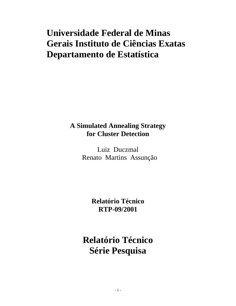# **Universidade Federal de Minas Gerais Instituto de Ciências Exatas Departamento de Estatística**

# **A Simulated Annealing Strategy for Cluster Detection**

Luiz Duczmal Renato Martins Assunção

> **Relatório Técnico RTP-09/2001**

**Relatório Técnico Série Pesquisa**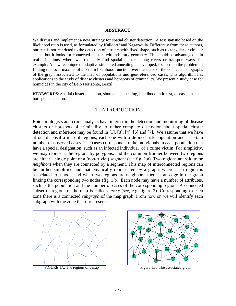#### **ABSTRACT**

We discuss and implement a new strategy for spatial cluster detection. A test statistic based on the likelihood ratio is used, as formulated by Kulldorff and Nagarwalla. Differently from these authors, our test is not restricted to the detection of clusters with fixed shape, such as rectangular or circular shape, but it looks for connected clusters with arbitrary geometry. This could be advantageous in real situations, where we frequently find spatial clusters along rivers or transport ways, for example. A new technique of adaptive simulated annealing is developed, focused on the problem of finding the local maxima of a certain likelihood function over the space of the connected subgraphs of the graph associated to the map of populations and geo-referenced cases. This algorithm has applications to the study of disease clusters and hot-spots of criminality. We present a study case for homicides in the city of Belo Horizonte, Brazil.

**KEYWORDS**: Spatial cluster detection, simulated annealing, likelihood ratio test, disease clusters, hot-spots detection.

#### 1. INTRODUCTION

Epidemiologists and crime analysts have interest in the detection and monitoring of disease clusters or hot-spots of criminality. A rather complete discussion about spatial cluster detection and inference may be found in [1], [3], [4], [6] and [7]. We assume that we have at our disposal a map of regions, each one with a defined risk population and a certain number of observed cases. The cases corresponds to the individuals in each population that have a special designation, such as an infected individual or a crime victim. For simplicity, we may represent the regions by polygons, and the common frontier between two regions are either a single point or a (non-trivial) segment (see fig. 1.a). Two regions are said to be *neighbors* when they are connected by a segment. This map of interconnected regions can be further simplified and mathematically represented by a graph, where each region is associated to a node, and when two regions are neighbors, there is an edge in the graph linking the corresponding two nodes (fig. 1.b). Each node may have a number of attributes, such as the population and the number of cases of the corresponding region. A connected subset of regions of the map is called a *zone* (see, e.g. figure 2). Corresponding to each zone there is a connected *subgraph* of the map graph. From now on we will identify each subgraph with the zone that it represents.



FIGURE 1A: The regions of a map Figure 1B: The associated graph

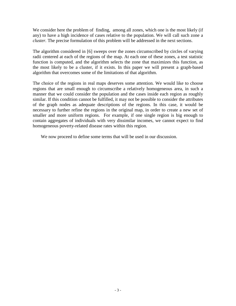We consider here the problem of finding, among all zones, which one is the most likely (if any) to have a high incidence of cases relative to the population. We will call such zone a *cluster.* The precise formulation of this problem will be addressed in the next sections.

The algorithm considered in [6] sweeps over the zones circumscribed by circles of varying radii centered at each of the regions of the map. At each one of these zones, a test statistic function is computed, and the algorithm selects the zone that maximizes this function, as the most likely to be a cluster, if it exists. In this paper we will present a graph-based algorithm that overcomes some of the limitations of that algorithm.

The choice of the regions in real maps deserves some attention. We would like to choose regions that are small enough to circumscribe a relatively homogeneous area, in such a manner that we could consider the population and the cases inside each region as roughly similar. If this condition cannot be fulfilled, it may not be possible to consider the attributes of the graph nodes as adequate descriptions of the regions. In this case, it would be necessary to further refine the regions in the original map, in order to create a new set of smaller and more uniform regions. For example, if one single region is big enough to contain aggregates of individuals with very dissimilar incomes, we cannot expect to find homogeneous poverty-related disease rates within this region.

We now proceed to define some terms that will be used in our discussion.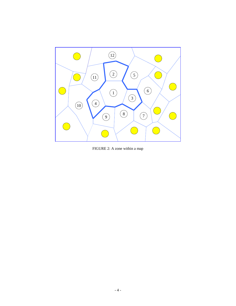

FIGURE 2: A zone within a map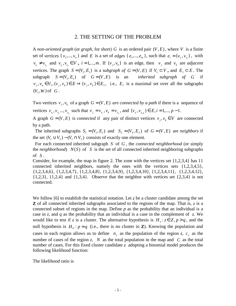#### 2. THE SETTING OF THE PROBLEM

A *non-oriented* graph (or graph, for short) G is an ordered pair  $(V, E)$ , where V is a finite set of *vertices*  $\{v_1, ..., v_n\}$  and *E* is a set of *edges*  $\{e_1, ..., e_m\}$ , such that  $e_i = \{v_{i_1}, v_{i_2}\}$ , with  $v_{i_1} \neq v_{i_2}$  and  $v_{i_1}$ ,  $v_{i_2} \in V$ ,  $i = 1,...,m$ . If  $\{v_j, v_k\}$  is an edge, then  $v_j$  and  $v_k$  are *adjacent* vertices. The graph  $S = (V_1, E_1)$  is a *subgraph of*  $G = (V, E)$  if  $V_1 \subset V$ , and  $E_1 \subset E$ . The subgraph  $S = (V_1, E_1)$  of  $G = (V, E)$  is an *inherited subgraph of G* if  $v_j, v_k \in V_1, \{v_j, v_k\} \in E \implies \{v_j, v_k\} \in E_1$ , i.e.,  $E_1$  is a maximal set over all the subgraphs  $(V_1, W)$  of  $G$ .

Two vertices  $v_j$ ,  $v_k$  of a graph  $G = (V, E)$  *are connected by a path* if there is a sequence of vertices  $v_{r_1}, v_{r_2},..., v_{r_p}$  such that  $v_j = v_{r_1}, v_k = v_{r_p}$ , and  $\{v_{r_i}, v_{r_{i+1}}\} \in E, i = 1,..., p-1$ .

A graph  $G = (V, E)$  is *connected* if any pair of distinct vertices  $v_j, v_k \in V$  are connected by a path.

The inherited subgraphs  $S_1 = (V_1, E_1)$  and  $S_2 = (V_2, E_2)$  of  $G = (V, E)$  are *neighbors* if the set  $(V_1 \cup V_2) - (V_1 \cap V_2)$  consists of exactly one element.

 For each connected inherited subgraph *S* of *G* , the *connected neighborhood* (or simply the *neighborhood*) *N*(*S*) of *S* is the set of all connected inherited neighboring subgraphs of *S* .

Consider, for example, the map in figure 2. The zone with the vertices set {1,2,3,4} has 11 connected inherited neighbors, namely the ones with the vertices sets  $\{1,2,3,4,5\}$ , {1,2,3,4,6}, {1,2,3,4,7}, {1,2,3,4,8}, {1,2,3,4,9}, {1,2,3,4,10}, {1,2,3,4,11}, {1,2,3,4,12},  $\{1,2,3\}$ ,  $\{1,2,4\}$  and  $\{1,3,4\}$ . Observe that the neighbor with vertices set  $\{2,3,4\}$  is not connected.

We follow [6] to establish the statistical notation. Let  $\zeta$  be a cluster candidate among the set **Z** of all connected inherited subgraphs associated to the regions of the map. That is, *z* is a connected subset of regions in the map. Define *p* as the probability that an individual is a case in *z,* and *q* as the probability that an individual is a case in the complement of *z.* We would like to test if *z* is a cluster. The alternative hypothesis is  $H_1$ :  $z \in Z$ ,  $p > q$ , and the null hypothesis is  $H_0: p = q$  (i.e., there is no cluster in **Z**). Knowing the population and cases in each region allows us to define  $n_z$  as the population of the region *z*,  $c_z$  as the number of cases of the region *z*, *N* as the total population in the map and *C* as the total number of cases. For this fixed cluster candidate *z* adopting a binomial model produces the following likelihood function:

The likelihood ratio is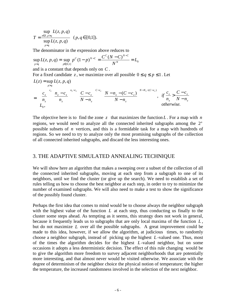$$
T = \frac{\sup_{z \in Z, p > q} L(z, p, q)}{\sup_{p > q} L(z, p, q)} \quad (p, q \in [0, 1]).
$$

The denominator in the expression above reduces to

$$
\sup_{p=q} L(z, p, q) = \sup_{p \in [0,1]} p^{C} (1-p)^{N-C} = \frac{C^{C} (N-C)^{N-C}}{N^{N}} = L_0
$$

and is a constant that depends only on *C* .

For a fixed candidate *z*, we maximize over all possible  $0 \le q \le p \le 1$ . Let

$$
L(z) = \sup_{p>q} L(z, p, q)
$$
  
= 
$$
\begin{cases} \frac{c_z}{n_z} \int_0^{c_z} \left( \frac{n_z - c_z}{n_z} \right)^{n_z - c_z} \left( \frac{C - c_z}{N - n_z} \right)^{C - c_z} \left( \frac{N - n_z - (C - c_z)}{N - n_z} \right)^{N - N_z - (C - c_z)}, & \text{if } \frac{c_z}{n_z} > \frac{C - c_z}{N - n_z} \\ L_0, & \text{otherwise.} \end{cases}
$$

The objective here is to find the zone  $z$  that maximizes the function  $L$ . For a map with  $n$ regions, we would need to analyze all the connected inherited subgraphs among the  $2<sup>n</sup>$ possible subsets of *n* vertices, and this is a formidable task for a map with hundreds of regions. So we need to try to analyze only the most promising subgraphs of the collection of all connected inherited subgraphs, and discard the less interesting ones.

#### 3. THE ADAPTIVE SIMULATED ANNEALING TECHNIQUE

We will show here an algorithm that makes a sweeping over a subset of the collection of all the connected inherited subgraphs, moving at each step from a subgraph to one of its neighbors, until we find the cluster (or give up the search). We need to establish a set of rules telling us how to choose the best neighbor at each step, in order to try to minimize the number of examined subgraphs. We will also need to make a test to show the significance of the possibly found cluster.

Perhaps the first idea that comes to mind would be to choose always the neighbor subgraph with the highest value of the function *L* at each step, thus conducting us finally to the cluster some steps ahead. As tempting as it seems, this strategy does not work in general, because it frequently leads us to subgraphs that are only local maxima of the function *L* , but do not maximize *L* over all the possible subgraphs. A great improvement could be made to this idea, however, if we allow the algorithm, at judicious times, to randomly choose a neighbor subgraph, instead of picking up the highest *L* -valued one. Thus, most of the times the algorithm decides for the highest *L* -valued neighbor, but on some occasions it adopts a less deterministic decision. The effect of this rule changing would be to give the algorithm more freedom to survey adjacent neighborhoods that are potentially more interesting, and that almost never would be visited otherwise. We associate with the degree of determinism of the neighbor choice the physical notion of temperature; the higher the temperature, the increased randomness involved in the selection of the next neighbor.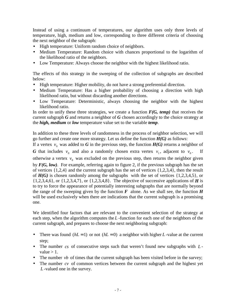Instead of using a continuum of temperatures, our algorithm uses only three levels of temperature, high, medium and low, corresponding to three different criteria of choosing the next neighbor of the subgraph:

- High temperature: Uniform random choice of neighbors.
- Medium Temperature: Random choice with chances proportional to the logarithm of the likelihood ratio of the neighbors.
- Low Temperature: Always choose the neighbor with the highest likelihood ratio.

The effects of this strategy in the sweeping of the collection of subgraphs are described below:

- High temperature: Higher mobility, do not have a strong preferential direction.
- Medium Temperature: Has a higher probability of choosing a direction with high likelihood ratio, but without discarding another directions.
- Low Temperature: Deterministic, always choosing the neighbor with the highest likelihood ratio.

In order to unify these three strategies, we create a function  $F(G, temp)$  that receives the current subgraph *G* and returns a neighbor of *G* chosen accordingly to the choice strategy at the *high, medium* or *low* temperature value set to the variable *temp*.

In addition to these three levels of randomness in the process of neighbor selection, we will go further and create one more strategy. Let us define the function *H(G)* as follows:

If a vertex  $v_0$  was added to *G* in the previous step, the function  $H(G)$  returns a neighbor of

*G* that includes  $v_0$  and also a randomly chosen extra vertex  $v_1$ , adjacent to  $v_0$ . If

otherwise a vertex  $v_0$  was excluded on the previous step, then returns the neighbor given by *F(G, low)*. For example, referring again to figure 2, if the previous subgraph has the set of vertices {1,2,4} and the current subgraph has the set of vertices {1,2,3,4}, then the result of *H(G)* is chosen randomly among the subgraphswith the set of vertices {1,2,3,4,5}, or {1,2,3,4,6}, or {1,2,3,4,7}, or {1,2,3,4,8}. The objective of successive applications of *H* is to try to force the appearance of potentially interesting subgraphs that are normally beyond the range of the sweeping given by the function  $\vec{F}$  alone. As we shall see, the function  $\vec{H}$ will be used exclusively when there are indications that the current subgraph is a promising one.

We identified four factors that are relevant to the convenient selection of the strategy at each step, when the algorithm computes the *L* -function for each one of the neighbors of the current subgraph, and prepares to choose the next neighboring subgraph:

- There was found  $(hL = 1)$  or not  $(hL = 0)$  a neighbor with higher *L*-value at the current step;
- The number *cs* of consecutive steps such that weren't found new subgraphs with *L* value  $> 1$ .
- The number *vb* of times that the current subgraph has been visited before in the survey;
- The number *cv* of common vertices between the current subgraph and the highest yet *L* -valued one in the survey.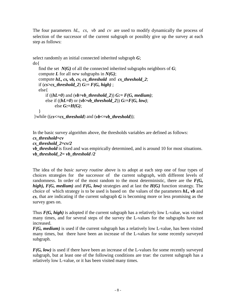The four parameters *hL*, *cs*, *vb* and *cv* are used to modify dynamically the process of selection of the successor of the current subgraph or possibly give up the survey at each step as follows:

select randomly an initial connected inherited subgraph *G*; do{

```
find the set N(G) of all the connected inherited subgraphs neighbors of G;
   compute L for all new subgraphs in N(G);
   compute hL, cs, vb, cv, cs_threshold and cs_threshold_2;
   if (cs>cs_threshold_2) G:= F(G, high) ;
   else{
      if ((hL=0) and (vb>vb_threshold_2)) G:= F(G, medium);
      else if ((hL=0) or (vb>b threshold 2)) G:=F(G, low);
           else G:=H(G);
   }
 }while ((cs<=cs_threshold) and (vb<=vb_threshold));
```

```
In the basic survey algorithm above, the thresholds variables are defined as follows:
cs_threshold=cv
cs_threshold_2=cv/2
vb_threshold is fixed and was empirically determined, and is around 10 for most situations.
vb_threshold_2= vb_threshold /2
```
The idea of the *basic survey routine* above is to adopt at each step one of four types of choices strategies for the successor of the current subgraph, with different levels of randomness. In order of the most random to the most deterministic, there are the *F(G, high), F(G, medium)* and *F(G, low)* strategies and at last the *H(G)* function strategy. The choice of which strategy is to be used is based on the values of the parameters *hL, vb* and *cs*, that are indicating if the current subgraph *G* is becoming more or less promising as the survey goes on.

Thus *F(G, high)* is adopted if the current subgraph has a relatively low L-value, was visited many times, and for several steps of the survey the L-values for the subgraphs have not increased.

*F(G, medium)* is used if the current subgraph has a relatively low L-value, has been visited many times, but there have been an increase of the L-values for some recently surveyed subgraph.

*F(G, low)* is used if there have been an increase of the L-values for some recently surveyed subgraph, but at least one of the following conditions are true: the current subgraph has a relatively low L-value, or it has been visited many times.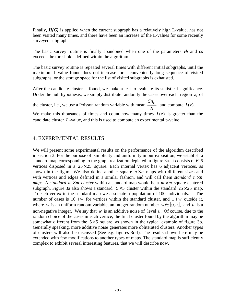Finally, *H(G)* is applied when the current subgraph has a relatively high L-value, has not been visited many times, and there have been an increase of the L-values for some recently surveyed subgraph.

The basic survey routine is finally abandoned when one of the parameters *vb* and *cs* exceeds the thresholds defined within the algorithm.

The basic survey routine is repeated several times with different initial subgraphs, until the maximum L-value found does not increase for a conveniently long sequence of visited subgraphs, or the storage space for the list of visited subgraphs is exhausted.

After the candidate cluster is found, we make a test to evaluate its statistical significance. Under the null hypothesis, we simply distribute randomly the cases over each region  $z_i$  of

the cluster, i.e., we use a Poisson random variable with mean *N*  $\frac{Cn_{z_i}}{Z}$ , and compute  $L(z)$ .

We make this thousands of times and count how many times  $L(z)$  is greater than the candidate cluster *L* -value, and this is used to compute an experimental p-value.

## 4. EXPERIMENTAL RESULTS

We will present some experimental results on the performance of the algorithm described in section 3. For the purpose of simplicity and uniformity in our exposition, we establish a standard map corresponding to the graph realization depicted in figure 3a. It consists of 625 vertices disposed in a  $25 \times 25$  square. Each internal vertex has 6 adjacent vertices, as shown in the figure. We also define another square  $n \times n$  maps with different sizes and with vertices and edges defined in a similar fashion, and will call them *standard*  $n \times n$ *maps*. A *standard*  $m \times m$  *cluster* within a standard map would be a  $m \times m$  square centered subgraph. Figure 3a also shows a standard  $5 \times 5$  cluster within the standard  $25 \times 25$  map. To each vertex in the standard map we associate a population of 100 individuals. The number of cases is  $10 + w$  for vertices within the standard cluster, and  $1 + w$  outside it, where *w* is an uniform random variable, an integer random number  $w \in [0, u]$ , and *u* is a non-negative integer. We say that *w* is an additive noise of level *u* . Of course, due to the random choice of the cases in each vertice, the final cluster found by the algorithm may be somewhat different from the  $5 \times 5$  square, as shown in the typical example of figure 3b. Generally speaking, more additive noise generates more obliterated clusters. Another types of clusters will also be discussed (See e.g. figures 3c-f). The results shown here may be extended with few modifications to another types of maps. The standard map is sufficiently complex to exhibit several interesting features, that we will describe now.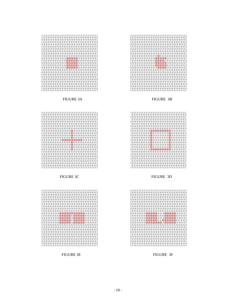









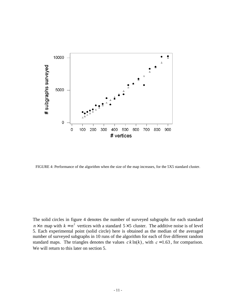

FIGURE 4: Performance of the algorithm when the size of the map increases, for the 5X5 standard cluster.

The solid circles in figure 4 denotes the number of surveyed subgraphs for each standard  $n \times n$  map with  $k = n^2$  vertices with a standard 5×5 cluster. The additive noise is of level 5. Each experimental point (solid circle) here is obtained as the median of the averaged number of surveyed subgraphs in 10 runs of the algorithm for each of five different random standard maps. The triangles denotes the values  $c \, k \ln(k)$ , with  $c = 1.63$ , for comparison. We will return to this later on section 5.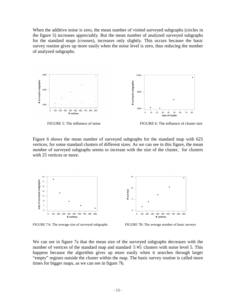When the additive noise is zero, the mean number of visited surveyed subgraphs (circles in the figure 5) increases appreciably. But the mean number of analyzed surveyed subgraphs for the standard maps (crosses), increases only slightly. This occurs because the basic survey routine gives up more easily when the noise level is zero, thus reducing the number of analyzed subgraphs.



Figure 6 shows the mean number of surveyed subgraphs for the standard map with 625 vertices, for some standard clusters of different sizes. As we can see in this figure, the mean number of surveyed subgraphs seems to increase with the size of the cluster, for clusters with 25 vertices or more.



FIGURE 7A: The average size of surveyed subgraphs FIGURE 7B: The average number of basic surveys

We can see in figure 7a that the mean size of the surveyed subgraphs decreases with the number of vertices of the standard map and standard  $5\times 5$  clusters with noise level 5. This happens because the algorithm gives up more easily when it searches through larger "empty" regions outside the cluster within the map. The basic survey routine is called more times for bigger maps, as we can see in figure 7b.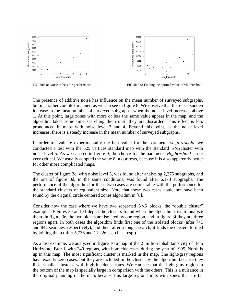

FIGURE 8: Noise affects the performance FIGURE 9: Finding the optimal value of vb\_threshold

The presence of additive noise has influence on the mean number of surveyed subgraphs, but in a rather complex manner, as we can see in figure 8. We observe that there is a sudden increase in the mean number of surveyed subgraphs, when the noise level increases above 1. At this point, large zones with more or less the same value appear in the map, and the algorithm takes some time searching them until they are discarded. This effect is less pronounced in maps with noise level 3 and 4. Beyond this point, as the noise level increases, there is a steady increase in the mean number of surveyed subgraphs.

In order to evaluate experimentally the best value for the parameter *vb* threshold, we conducted a test with the 625 vertices standard map with the standard  $5\times5$  cluster with noise level 5. As we can see in figure 9, the choice for the parameter *vb\_threshold* is not very critical. We usually adopted the value 8 in our tests, because it is also apparently better for other more complicated maps.

The cluster of figure 3c, with noise level 5, was found after analyzing 2,275 subgraphs, and the one of figure 3d, in the same conditions, was found after 6,173 subgraphs. The performance of the algorithm for these two cases are comparable with the performance for the standard clusters of equivalent size. Note that these two cases could not have been found by the original circle centered zones algorithm in [6].

Consider now the case where we have two separated  $5\times 5$  blocks, the "double cluster" examples. Figures 3e and 3f depict the clusters found when the algorithm tries to analyze them. In figure 3e, the two blocks are isolated by one region, and in figure 3f they are three regions apart. In both cases the algorithm finds first one of the isolated blocks (after 741 and 842 searches, respectively), and then, after a longer search, it finds the clusters formed by joining them (after 5,736 and 11,226 searches, resp.).

As a last example, we analyzed in figure 10 a map of the 2 million inhabitants city of Belo Horizonte, Brazil, with 240 regions, with homicide cases during the year of 1995. North is up in this map. The most significant cluster is marked in the map. The light-gray regions have exactly zero cases, but they are included in the cluster by the algorithm because they link "smaller clusters" with high incidence rates. We can see that the light-gray region in the bottom of the map is specially large in comparison with the others. This is a nuisance in the original planning of the map, because this large region limits with zones that are far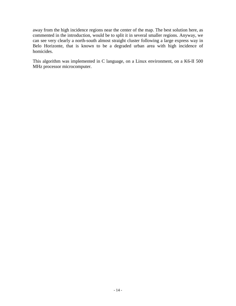away from the high incidence regions near the center of the map. The best solution here, as commented in the introduction, would be to split it in several smaller regions. Anyway, we can see very clearly a north-south almost straight cluster following a large express way in Belo Horizonte, that is known to be a degraded urban area with high incidence of homicides.

This algorithm was implemented in C language, on a Linux environment, on a K6-II 500 MHz processor microcomputer.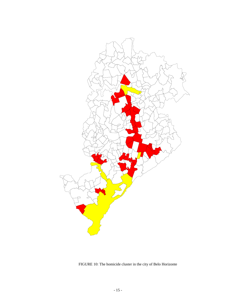

FIGURE 10: The homicide cluster in the city of Belo Horizonte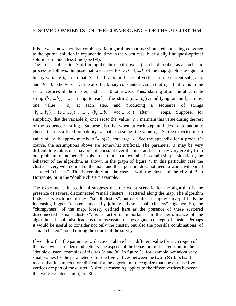It is a well-know fact that combinatorial algorithms that use simulated annealing converge to the optimal solution in exponential time in the worst case, but usually find quasi-optimal solutions in much less time (see [9]).

The process of section 3 of finding the cluster (if it exists) can be described as a stochastic process as follows. Suppose that to each vertex  $v_i$ ,  $i = 1,...,k$  of the map graph is assigned a binary variable  $b_i$ , such that  $b_i = 1$  if  $v_i$  is in the set of vertices of the current subgraph, and  $b_i = 0$  otherwise. Define also the binary constants  $c_i$ , such that  $c_i = 1$  if  $v_i$  is in the set of vertices of the cluster, and  $c_i = 0$  otherwise. Thus, starting at an initial variable string  $(b_1, ..., b_k)$  we attempt to reach at the string  $(c_1, ..., c_k)$ , modifying randomly at most one value *<sup>i</sup>*  $b_i$  at each step, and producing a sequence of strings  $(b_1,...,b_k)_0$ ,  $(b_1,...,b_k)_1$ , ...,  $(b_1,...,b_k)_r = (c_1,...,c_k)$  after *r* steps. Suppose, for simplicity, that the variable  $b_i$  once set to the value  $c_i$ , maintain this value during the rest of the sequence of strings. Suppose also that when, at each step, an index *i* is randomly chosen there is a fixed probability *s* that  $b_i$  assumes the value  $c_i$ . So the expected mean value of *r* is approximately  $s^{-1}k \ln(k)$ , for large *k*. See the appendix for a proof. Of course, the assumptions above are somewhat artificial. The parameter *s* may be very difficult to establish. It may be not constant over the map, and also may vary greatly from one problem to another. But this crude model can explain, in certain simple situations, the behavior of the algorithm, as shown in the graph of figure 4. In this particular case the cluster is very well defined in the map, and the algorithm does not need to worry with small scattered "clusters". This is certainly not the case as with the cluster of the city of Belo Horizonte, or in the "double cluster" example.

The experiments in section 4 suggests that the worst scenario for the algorithm is the presence of several disconnected "small clusters" scattered along the map. The algorithm finds easily each one of these "small clusters", but only after a lengthy survey it finds the increasing bigger "clusters" made by joining these "small clusters" together. So, the "clumpyness" of the map, loosely defined here as the presence of these scattered disconnected "small clusters", is a factor of importance in the performance of the algorithm. It could also leads us to a discussion of the original concept of cluster. Perhaps it would be useful to consider not only the cluster, but also the possible combinations of "small clusters" found during the course of the survey.

If we allow that the parameter *s* discussed above has a different value for each region of the map, we can understand better some aspects of the behavior of the algorithm in the "double cluster" examples of figures 3e and 3f. In figure 3e, for example, we adopt very small values for the parameter  $s$  for the five vertices between the two  $5 \times 5$  blocks. It means that it is much more difficult for the algorithm to recognize that one of these five vertices are part of the cluster. A similar reasoning applies to the fifteen vertices between the two  $5 \times 5$  blocks in figure 3f.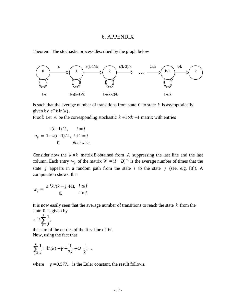#### 6. APPENDIX

Theorem: The stochastic process described by the graph below



is such that the average number of transitions from state  $0$  to state  $k$  is asymptotically given by  $s^{-1}k \ln(k)$ .

Proof: Let *A* be the corresponding stochastic  $k + 1 \times k + 1$  matrix with entries

$$
a_{ij} = \begin{cases} s(i-1)/k, & i = j \\ 1 - s(i-1)/k, & i+1 = j \\ 0, & otherwise. \end{cases}
$$

Consider now the  $k \times k$  matrix *B* obtained from *A* suppressing the last line and the last column. Each entry  $w_{ij}$  of the matrix  $W = (I - B)^{-1}$  is the average number of times that the state *j* appears in a random path from the state *i* to the state *j* (see, e.g. [8]). A computation shows that

$$
w_{ij} = \begin{cases} s^{-1}k/(k-j+1), & i \le j \\ 0, & i > j. \end{cases}
$$

It is now easily seen that the average number of transitions to reach the state *k* from the state 0 is given by

$$
s^{-1}k\sum_{j=1}^{k}\frac{1}{j},
$$

the sum of the entries of the first line of *W* . Now, using the fact that

$$
\sum_{j=1}^{k} \frac{1}{j} = \ln(k) + \gamma + \frac{1}{2k} + O\left(\frac{1}{k^2}\right)
$$

where  $\gamma = 0.577...$  is the Euler constant, the result follows.